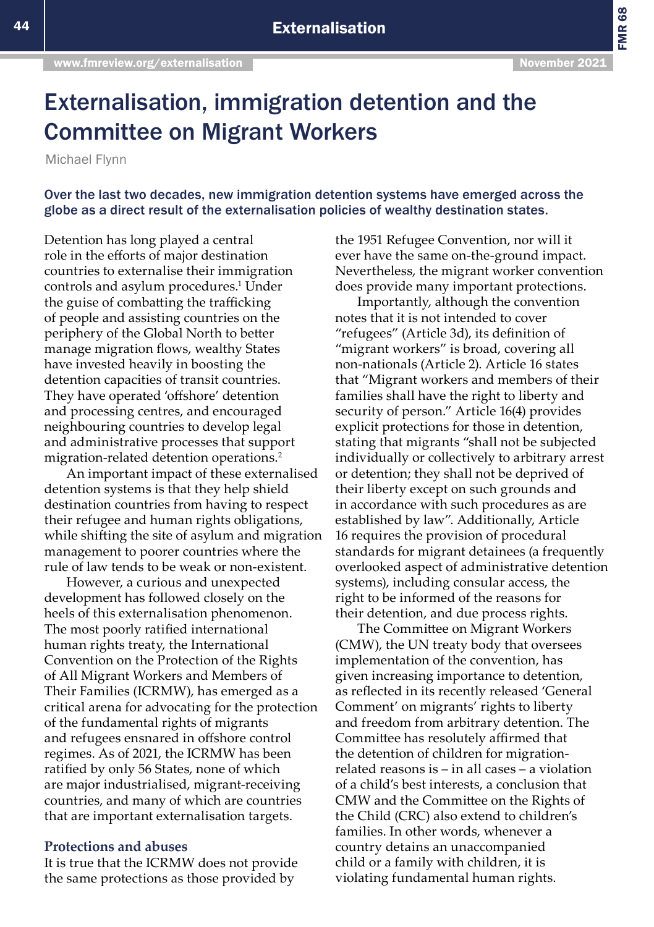FMR 68

# Externalisation, immigration detention and the Committee on Migrant Workers

Michael Flynn

Over the last two decades, new immigration detention systems have emerged across the globe as a direct result of the externalisation policies of wealthy destination states.

Detention has long played a central role in the efforts of major destination countries to externalise their immigration controls and asylum procedures.<sup>1</sup> Under the guise of combatting the trafficking of people and assisting countries on the periphery of the Global North to better manage migration flows, wealthy States have invested heavily in boosting the detention capacities of transit countries. They have operated 'offshore' detention and processing centres, and encouraged neighbouring countries to develop legal and administrative processes that support migration-related detention operations.2

An important impact of these externalised detention systems is that they help shield destination countries from having to respect their refugee and human rights obligations, while shifting the site of asylum and migration management to poorer countries where the rule of law tends to be weak or non-existent.

However, a curious and unexpected development has followed closely on the heels of this externalisation phenomenon. The most poorly ratified international human rights treaty, the International Convention on the Protection of the Rights of All Migrant Workers and Members of Their Families (ICRMW), has emerged as a critical arena for advocating for the protection of the fundamental rights of migrants and refugees ensnared in offshore control regimes. As of 2021, the ICRMW has been ratified by only 56 States, none of which are major industrialised, migrant-receiving countries, and many of which are countries that are important externalisation targets.

# **Protections and abuses**

It is true that the ICRMW does not provide the same protections as those provided by

the 1951 Refugee Convention, nor will it ever have the same on-the-ground impact. Nevertheless, the migrant worker convention does provide many important protections.

Importantly, although the convention notes that it is not intended to cover "refugees" (Article 3d), its definition of "migrant workers" is broad, covering all non-nationals (Article 2). Article 16 states that "Migrant workers and members of their families shall have the right to liberty and security of person." Article 16(4) provides explicit protections for those in detention, stating that migrants "shall not be subjected individually or collectively to arbitrary arrest or detention; they shall not be deprived of their liberty except on such grounds and in accordance with such procedures as are established by law". Additionally, Article 16 requires the provision of procedural standards for migrant detainees (a frequently overlooked aspect of administrative detention systems), including consular access, the right to be informed of the reasons for their detention, and due process rights.

The Committee on Migrant Workers (CMW), the UN treaty body that oversees implementation of the convention, has given increasing importance to detention, as reflected in its recently released 'General Comment' on migrants' rights to liberty and freedom from arbitrary detention. The Committee has resolutely affirmed that the detention of children for migrationrelated reasons is – in all cases – a violation of a child's best interests, a conclusion that CMW and the Committee on the Rights of the Child (CRC) also extend to children's families. In other words, whenever a country detains an unaccompanied child or a family with children, it is violating fundamental human rights.